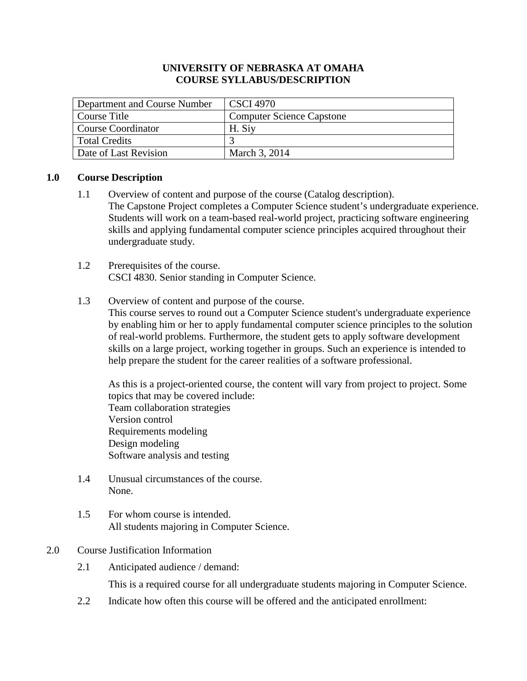# **UNIVERSITY OF NEBRASKA AT OMAHA COURSE SYLLABUS/DESCRIPTION**

| Department and Course Number | <b>CSCI 4970</b>                 |
|------------------------------|----------------------------------|
| Course Title                 | <b>Computer Science Capstone</b> |
| <b>Course Coordinator</b>    | H. Siy                           |
| <b>Total Credits</b>         |                                  |
| Date of Last Revision        | March 3, 2014                    |

# **1.0 Course Description**

- 1.1 Overview of content and purpose of the course (Catalog description). The Capstone Project completes a Computer Science student's undergraduate experience. Students will work on a team-based real-world project, practicing software engineering skills and applying fundamental computer science principles acquired throughout their undergraduate study.
- 1.2 Prerequisites of the course. CSCI 4830. Senior standing in Computer Science.

# 1.3 Overview of content and purpose of the course.

This course serves to round out a Computer Science student's undergraduate experience by enabling him or her to apply fundamental computer science principles to the solution of real-world problems. Furthermore, the student gets to apply software development skills on a large project, working together in groups. Such an experience is intended to help prepare the student for the career realities of a software professional.

As this is a project-oriented course, the content will vary from project to project. Some topics that may be covered include: Team collaboration strategies Version control Requirements modeling Design modeling Software analysis and testing

- 1.4 Unusual circumstances of the course. None.
- 1.5 For whom course is intended. All students majoring in Computer Science.

#### 2.0 Course Justification Information

2.1 Anticipated audience / demand:

This is a required course for all undergraduate students majoring in Computer Science.

2.2 Indicate how often this course will be offered and the anticipated enrollment: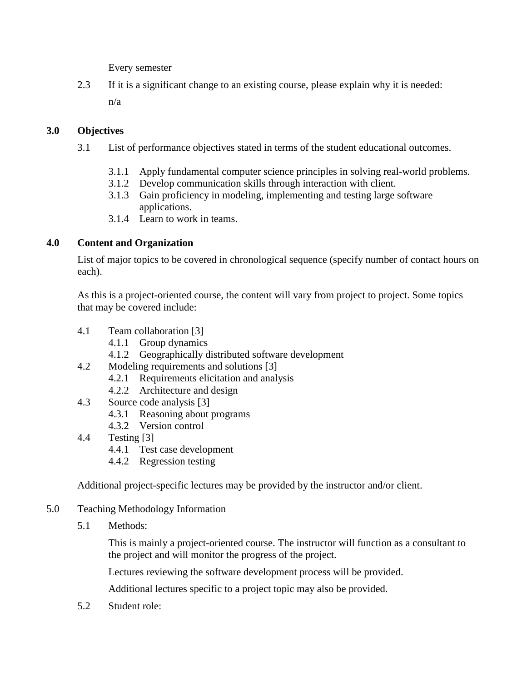Every semester

2.3 If it is a significant change to an existing course, please explain why it is needed: n/a

# **3.0 Objectives**

- 3.1 List of performance objectives stated in terms of the student educational outcomes.
	- 3.1.1 Apply fundamental computer science principles in solving real-world problems.
	- 3.1.2 Develop communication skills through interaction with client.
	- 3.1.3 Gain proficiency in modeling, implementing and testing large software applications.
	- 3.1.4 Learn to work in teams.

# **4.0 Content and Organization**

List of major topics to be covered in chronological sequence (specify number of contact hours on each).

As this is a project-oriented course, the content will vary from project to project. Some topics that may be covered include:

- 4.1 Team collaboration [3]
	- 4.1.1 Group dynamics
	- 4.1.2 Geographically distributed software development
- 4.2 Modeling requirements and solutions [3]
	- 4.2.1 Requirements elicitation and analysis
	- 4.2.2 Architecture and design
- 4.3 Source code analysis [3]
	- 4.3.1 Reasoning about programs
	- 4.3.2 Version control
- 4.4 Testing [3]
	- 4.4.1 Test case development
	- 4.4.2 Regression testing

Additional project-specific lectures may be provided by the instructor and/or client.

- 5.0 Teaching Methodology Information
	- 5.1 Methods:

This is mainly a project-oriented course. The instructor will function as a consultant to the project and will monitor the progress of the project.

Lectures reviewing the software development process will be provided.

Additional lectures specific to a project topic may also be provided.

5.2 Student role: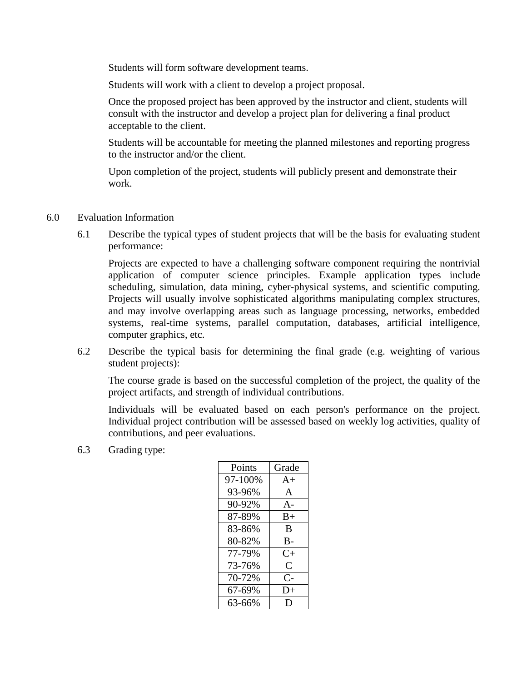Students will form software development teams.

Students will work with a client to develop a project proposal.

Once the proposed project has been approved by the instructor and client, students will consult with the instructor and develop a project plan for delivering a final product acceptable to the client.

Students will be accountable for meeting the planned milestones and reporting progress to the instructor and/or the client.

Upon completion of the project, students will publicly present and demonstrate their work.

- 6.0 Evaluation Information
	- 6.1 Describe the typical types of student projects that will be the basis for evaluating student performance:

Projects are expected to have a challenging software component requiring the nontrivial application of computer science principles. Example application types include scheduling, simulation, data mining, cyber-physical systems, and scientific computing. Projects will usually involve sophisticated algorithms manipulating complex structures, and may involve overlapping areas such as language processing, networks, embedded systems, real-time systems, parallel computation, databases, artificial intelligence, computer graphics, etc.

6.2 Describe the typical basis for determining the final grade (e.g. weighting of various student projects):

The course grade is based on the successful completion of the project, the quality of the project artifacts, and strength of individual contributions.

Individuals will be evaluated based on each person's performance on the project. Individual project contribution will be assessed based on weekly log activities, quality of contributions, and peer evaluations.

6.3 Grading type:

| Points  | Grade     |
|---------|-----------|
| 97-100% | $A+$      |
| 93-96%  | A         |
| 90-92%  | A-        |
| 87-89%  | $B+$      |
| 83-86%  | B         |
| 80-82%  | $B-$      |
| 77-79%  | $C_{\pm}$ |
| 73-76%  | C         |
| 70-72%  | C-        |
| 67-69%  | $D+$      |
| 63-66%  | Ð         |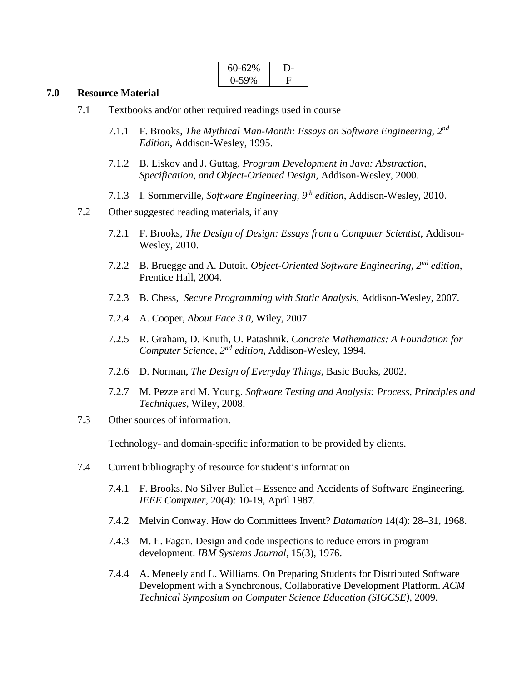| 60-62%  |  |
|---------|--|
| $-59\%$ |  |

#### **7.0 Resource Material**

| 7.1 |       | Textbooks and/or other required readings used in course                                                                                       |
|-----|-------|-----------------------------------------------------------------------------------------------------------------------------------------------|
|     | 7.1.1 | F. Brooks, The Mythical Man-Month: Essays on Software Engineering, 2nd<br>Edition, Addison-Wesley, 1995.                                      |
|     | 7.1.2 | B. Liskov and J. Guttag, Program Development in Java: Abstraction,<br>Specification, and Object-Oriented Design, Addison-Wesley, 2000.        |
|     | 7.1.3 | I. Sommerville, Software Engineering, $9th$ edition, Addison-Wesley, 2010.                                                                    |
| 7.2 |       | Other suggested reading materials, if any                                                                                                     |
|     | 7.2.1 | F. Brooks, The Design of Design: Essays from a Computer Scientist, Addison-<br>Wesley, 2010.                                                  |
|     | 7.2.2 | B. Bruegge and A. Dutoit. Object-Oriented Software Engineering, $2^{nd}$ edition,<br>Prentice Hall, 2004.                                     |
|     | 7.2.3 | B. Chess, Secure Programming with Static Analysis, Addison-Wesley, 2007.                                                                      |
|     | 7.2.4 | A. Cooper, <i>About Face 3.0</i> , Wiley, 2007.                                                                                               |
|     | 7.2.5 | R. Graham, D. Knuth, O. Patashnik. Concrete Mathematics: A Foundation for<br>Computer Science, 2 <sup>nd</sup> edition, Addison-Wesley, 1994. |
|     | 7.2.6 | D. Norman, The Design of Everyday Things, Basic Books, 2002.                                                                                  |
|     | 7.2.7 | M. Pezze and M. Young. Software Testing and Analysis: Process, Principles and<br>Techniques, Wiley, 2008.                                     |
| 7.3 |       | Other sources of information.                                                                                                                 |
|     |       | Technology- and domain-specific information to be provided by clients.                                                                        |
| 7.4 |       | Current bibliography of resource for student's information                                                                                    |
|     |       | 7.4.1 F. Brooks. No Silver Bullet – Essence and Accidents of Software Engineering.<br>IEEE Computer, 20(4): 10-19, April 1987.                |
|     | 7.4.2 | Melvin Conway. How do Committees Invent? Datamation 14(4): 28–31, 1968.                                                                       |
|     | 7.4.3 | M. E. Fagan. Design and code inspections to reduce errors in program<br>development. IBM Systems Journal, 15(3), 1976.                        |

7.4.4 A. Meneely and L. Williams. On Preparing Students for Distributed Software Development with a Synchronous, Collaborative Development Platform. *ACM Technical Symposium on Computer Science Education (SIGCSE)*, 2009.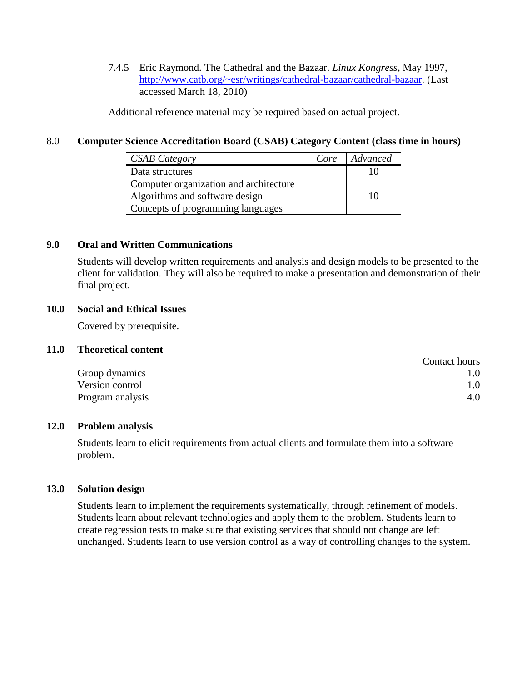7.4.5 Eric Raymond. The Cathedral and the Bazaar. *Linux Kongress*, May 1997, [http://www.catb.org/~esr/writings/cathedral-bazaar/cathedral-bazaar.](http://www.catb.org/%7Eesr/writings/cathedral-bazaar/cathedral-bazaar) (Last accessed March 18, 2010)

Additional reference material may be required based on actual project.

## 8.0 **Computer Science Accreditation Board (CSAB) Category Content (class time in hours)**

| <b>CSAB</b> Category                   | Core | Advanced |
|----------------------------------------|------|----------|
| Data structures                        |      |          |
| Computer organization and architecture |      |          |
| Algorithms and software design         |      |          |
| Concepts of programming languages      |      |          |

# **9.0 Oral and Written Communications**

Students will develop written requirements and analysis and design models to be presented to the client for validation. They will also be required to make a presentation and demonstration of their final project.

## **10.0 Social and Ethical Issues**

Covered by prerequisite.

## **11.0 Theoretical content**

|                  | Contact hours |
|------------------|---------------|
| Group dynamics   | 1.0           |
| Version control  | 1.0           |
| Program analysis | 4.0           |

#### **12.0 Problem analysis**

Students learn to elicit requirements from actual clients and formulate them into a software problem.

## **13.0 Solution design**

Students learn to implement the requirements systematically, through refinement of models. Students learn about relevant technologies and apply them to the problem. Students learn to create regression tests to make sure that existing services that should not change are left unchanged. Students learn to use version control as a way of controlling changes to the system.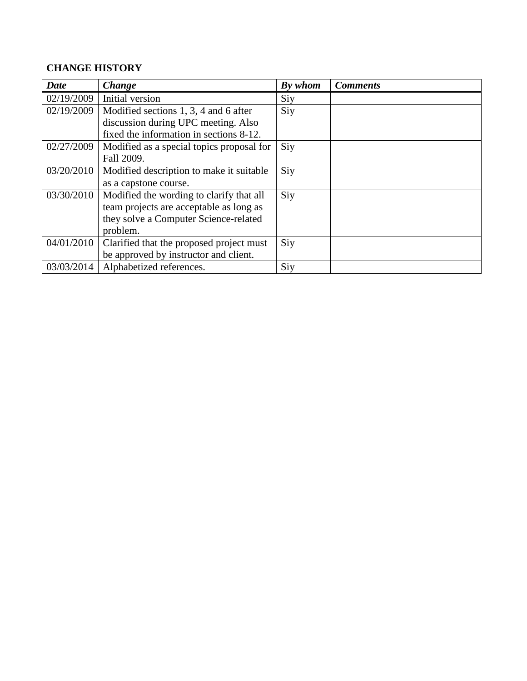# **CHANGE HISTORY**

| <b>Date</b> | <b>Change</b>                             | By whom | <b>Comments</b> |
|-------------|-------------------------------------------|---------|-----------------|
| 02/19/2009  | Initial version                           | Siy     |                 |
| 02/19/2009  | Modified sections 1, 3, 4 and 6 after     | Siy     |                 |
|             | discussion during UPC meeting. Also       |         |                 |
|             | fixed the information in sections 8-12.   |         |                 |
| 02/27/2009  | Modified as a special topics proposal for | Siy     |                 |
|             | Fall 2009.                                |         |                 |
| 03/20/2010  | Modified description to make it suitable  | Siy     |                 |
|             | as a capstone course.                     |         |                 |
| 03/30/2010  | Modified the wording to clarify that all  | Siy     |                 |
|             | team projects are acceptable as long as   |         |                 |
|             | they solve a Computer Science-related     |         |                 |
|             | problem.                                  |         |                 |
| 04/01/2010  | Clarified that the proposed project must  | Siy     |                 |
|             | be approved by instructor and client.     |         |                 |
| 03/03/2014  | Alphabetized references.                  | Siy     |                 |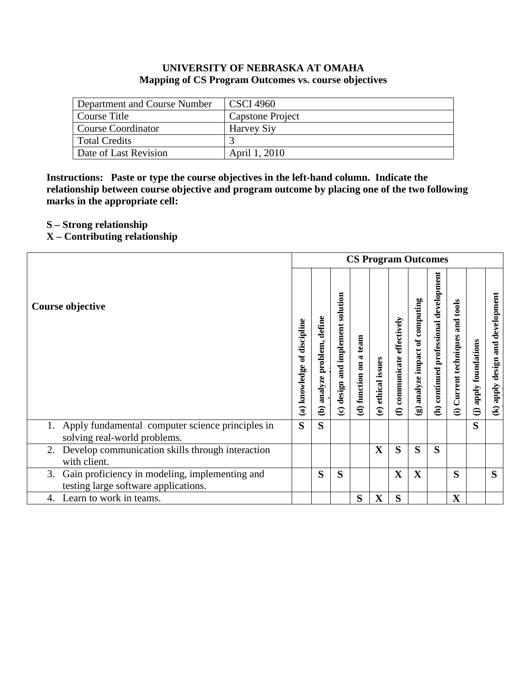# **UNIVERSITY OF NEBRASKA AT OMAHA Mapping of CS Program Outcomes vs. course objectives**

| Department and Course Number | <b>CSCI 4960</b>        |
|------------------------------|-------------------------|
| Course Title                 | <b>Capstone Project</b> |
| Course Coordinator           | Harvey Siy              |
| Total Credits                |                         |
| Date of Last Revision        | April 1, 2010           |

**Instructions: Paste or type the course objectives in the left-hand column. Indicate the relationship between course objective and program outcome by placing one of the two following marks in the appropriate cell:**

- **S – Strong relationship**
- **X – Contributing relationship**

|                                                                                              | <b>CS Program Outcomes</b> |                                                |                                                                  |                                                                            |                                |                                           |                                                   |                                           |                                                       |                                                      |                                                             |
|----------------------------------------------------------------------------------------------|----------------------------|------------------------------------------------|------------------------------------------------------------------|----------------------------------------------------------------------------|--------------------------------|-------------------------------------------|---------------------------------------------------|-------------------------------------------|-------------------------------------------------------|------------------------------------------------------|-------------------------------------------------------------|
| Course objective                                                                             |                            | define<br>problem,<br>analyze<br>$\widehat{e}$ | solution<br>implement<br>and<br>design<br>$\widehat{\mathbf{c}}$ | team<br>$\mathbf{\overline{a}}$<br>$\overline{\mathbf{e}}$<br>(d) function | ethical issues<br>$\mathbf{e}$ | effectively<br>communicate<br>$\bigoplus$ | of computing<br>impact<br>analyze<br>$\mathbf{G}$ | development<br>(h) continued professional | tools<br>and<br>Current techniques<br>$\widehat{\Xi}$ | apply foundations<br>$\widehat{\boldsymbol{\Theta}}$ | development<br>and<br>design<br>apply<br>$\mathbf{\hat{z}}$ |
| Apply fundamental computer science principles in<br>solving real-world problems.             | S                          | S                                              |                                                                  |                                                                            |                                |                                           |                                                   |                                           |                                                       | S                                                    |                                                             |
| Develop communication skills through interaction<br>2.<br>with client.                       |                            |                                                |                                                                  |                                                                            | $\mathbf X$                    | S                                         | S                                                 | S                                         |                                                       |                                                      |                                                             |
| Gain proficiency in modeling, implementing and<br>3.<br>testing large software applications. |                            | S                                              | S                                                                |                                                                            |                                | $\overline{\mathbf{X}}$                   | $\mathbf X$                                       |                                           | S                                                     |                                                      | S                                                           |
| Learn to work in teams.<br>4.                                                                |                            |                                                |                                                                  | S                                                                          | $\mathbf X$                    | S                                         |                                                   |                                           | $\mathbf X$                                           |                                                      |                                                             |